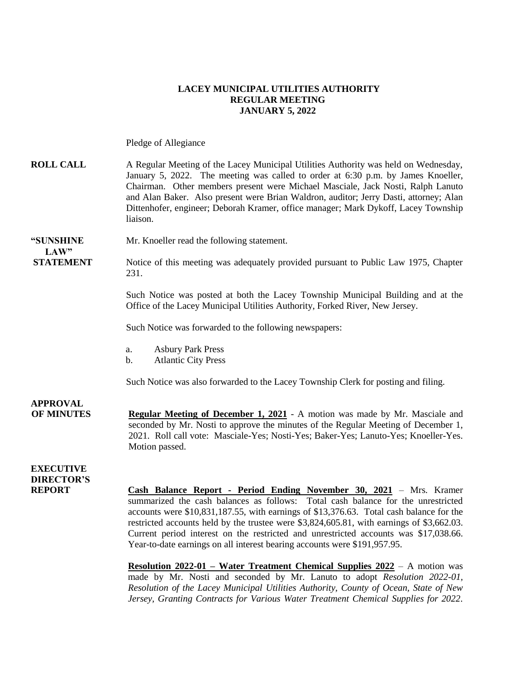### **LACEY MUNICIPAL UTILITIES AUTHORITY REGULAR MEETING JANUARY 5, 2022**

Pledge of Allegiance

### **ROLL CALL** A Regular Meeting of the Lacey Municipal Utilities Authority was held on Wednesday, January 5, 2022. The meeting was called to order at 6:30 p.m. by James Knoeller, Chairman. Other members present were Michael Masciale, Jack Nosti, Ralph Lanuto and Alan Baker. Also present were Brian Waldron, auditor; Jerry Dasti, attorney; Alan Dittenhofer, engineer; Deborah Kramer, office manager; Mark Dykoff, Lacey Township liaison.

# **LAW"**

**"SUNSHINE** Mr. Knoeller read the following statement.

**STATEMENT** Notice of this meeting was adequately provided pursuant to Public Law 1975, Chapter 231.

> Such Notice was posted at both the Lacey Township Municipal Building and at the Office of the Lacey Municipal Utilities Authority, Forked River, New Jersey.

Such Notice was forwarded to the following newspapers:

- a. Asbury Park Press
- b. Atlantic City Press

Such Notice was also forwarded to the Lacey Township Clerk for posting and filing.

**APPROVAL OF MINUTES Regular Meeting of December 1, 2021** - A motion was made by Mr. Masciale and seconded by Mr. Nosti to approve the minutes of the Regular Meeting of December 1, 2021. Roll call vote: Masciale-Yes; Nosti-Yes; Baker-Yes; Lanuto-Yes; Knoeller-Yes. Motion passed.

### **EXECUTIVE DIRECTOR'S**

**REPORT Cash Balance Report - Period Ending November 30, 2021** – Mrs. Kramer summarized the cash balances as follows: Total cash balance for the unrestricted accounts were \$10,831,187.55, with earnings of \$13,376.63. Total cash balance for the restricted accounts held by the trustee were \$3,824,605.81, with earnings of \$3,662.03. Current period interest on the restricted and unrestricted accounts was \$17,038.66. Year-to-date earnings on all interest bearing accounts were \$191,957.95.

> **Resolution 2022-01 – Water Treatment Chemical Supplies 2022** – A motion was made by Mr. Nosti and seconded by Mr. Lanuto to adopt *Resolution 2022-01, Resolution of the Lacey Municipal Utilities Authority, County of Ocean, State of New Jersey, Granting Contracts for Various Water Treatment Chemical Supplies for 2022.*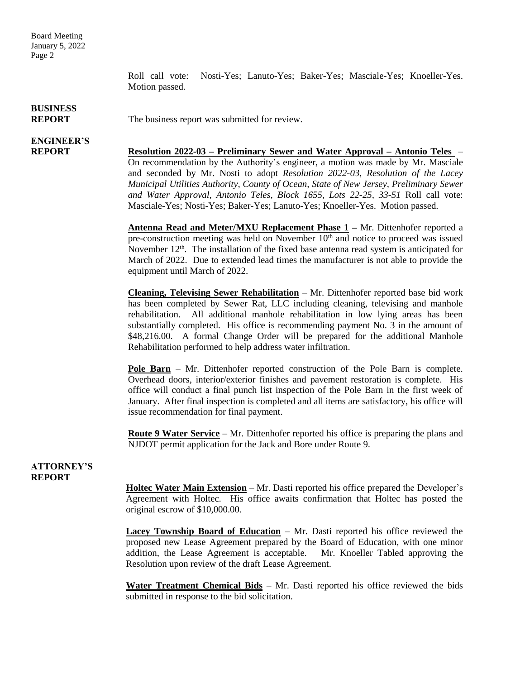Board Meeting January 5, 2022 Page 2

> Roll call vote: Nosti-Yes; Lanuto-Yes; Baker-Yes; Masciale-Yes; Knoeller-Yes. Motion passed.

#### **BUSINESS REPORT** The business report was submitted for review.

## **ENGINEER'S**

**REPORT Resolution 2022-03 – Preliminary Sewer and Water Approval – Antonio Teles** – On recommendation by the Authority's engineer, a motion was made by Mr. Masciale and seconded by Mr. Nosti to adopt *Resolution 2022-03, Resolution of the Lacey Municipal Utilities Authority, County of Ocean, State of New Jersey, Preliminary Sewer and Water Approval, Antonio Teles, Block 1655, Lots 22-25, 33-51* Roll call vote: Masciale-Yes; Nosti-Yes; Baker-Yes; Lanuto-Yes; Knoeller-Yes. Motion passed.

> **Antenna Read and Meter/MXU Replacement Phase 1 –** Mr. Dittenhofer reported a pre-construction meeting was held on November  $10<sup>th</sup>$  and notice to proceed was issued November 12<sup>th</sup>. The installation of the fixed base antenna read system is anticipated for March of 2022. Due to extended lead times the manufacturer is not able to provide the equipment until March of 2022.

> **Cleaning, Televising Sewer Rehabilitation** – Mr. Dittenhofer reported base bid work has been completed by Sewer Rat, LLC including cleaning, televising and manhole rehabilitation. All additional manhole rehabilitation in low lying areas has been substantially completed. His office is recommending payment No. 3 in the amount of \$48,216.00. A formal Change Order will be prepared for the additional Manhole Rehabilitation performed to help address water infiltration.

> **Pole Barn** – Mr. Dittenhofer reported construction of the Pole Barn is complete. Overhead doors, interior/exterior finishes and pavement restoration is complete. His office will conduct a final punch list inspection of the Pole Barn in the first week of January. After final inspection is completed and all items are satisfactory, his office will issue recommendation for final payment.

> **Route 9 Water Service** – Mr. Dittenhofer reported his office is preparing the plans and NJDOT permit application for the Jack and Bore under Route 9.

### **ATTORNEY'S REPORT**

**Holtec Water Main Extension** – Mr. Dasti reported his office prepared the Developer's Agreement with Holtec. His office awaits confirmation that Holtec has posted the original escrow of \$10,000.00.

**Lacey Township Board of Education** – Mr. Dasti reported his office reviewed the proposed new Lease Agreement prepared by the Board of Education, with one minor addition, the Lease Agreement is acceptable. Mr. Knoeller Tabled approving the Resolution upon review of the draft Lease Agreement.

**Water Treatment Chemical Bids** – Mr. Dasti reported his office reviewed the bids submitted in response to the bid solicitation.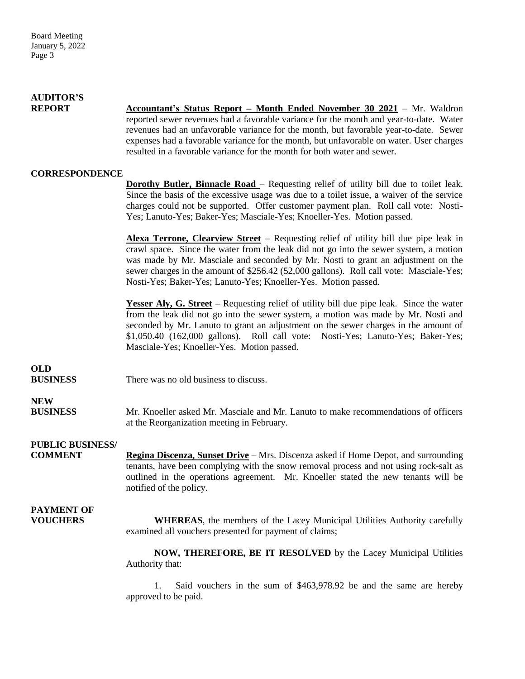| <b>AUDITOR'S</b><br><b>REPORT</b>         | <b>Accountant's Status Report – Month Ended November 30 2021</b> – Mr. Waldron<br>reported sewer revenues had a favorable variance for the month and year-to-date. Water<br>revenues had an unfavorable variance for the month, but favorable year-to-date. Sewer<br>expenses had a favorable variance for the month, but unfavorable on water. User charges<br>resulted in a favorable variance for the month for both water and sewer. |
|-------------------------------------------|------------------------------------------------------------------------------------------------------------------------------------------------------------------------------------------------------------------------------------------------------------------------------------------------------------------------------------------------------------------------------------------------------------------------------------------|
| <b>CORRESPONDENCE</b>                     |                                                                                                                                                                                                                                                                                                                                                                                                                                          |
|                                           | <b>Dorothy Butler, Binnacle Road</b> – Requesting relief of utility bill due to toilet leak.<br>Since the basis of the excessive usage was due to a toilet issue, a waiver of the service<br>charges could not be supported. Offer customer payment plan. Roll call vote: Nosti-<br>Yes; Lanuto-Yes; Baker-Yes; Masciale-Yes; Knoeller-Yes. Motion passed.                                                                               |
|                                           | <b>Alexa Terrone, Clearview Street</b> – Requesting relief of utility bill due pipe leak in<br>crawl space. Since the water from the leak did not go into the sewer system, a motion<br>was made by Mr. Masciale and seconded by Mr. Nosti to grant an adjustment on the<br>sewer charges in the amount of \$256.42 (52,000 gallons). Roll call vote: Masciale-Yes;<br>Nosti-Yes; Baker-Yes; Lanuto-Yes; Knoeller-Yes. Motion passed.    |
|                                           | <b>Yesser Aly, G. Street</b> – Requesting relief of utility bill due pipe leak. Since the water<br>from the leak did not go into the sewer system, a motion was made by Mr. Nosti and<br>seconded by Mr. Lanuto to grant an adjustment on the sewer charges in the amount of<br>\$1,050.40 (162,000 gallons). Roll call vote: Nosti-Yes; Lanuto-Yes; Baker-Yes;<br>Masciale-Yes; Knoeller-Yes. Motion passed.                            |
| <b>OLD</b><br><b>BUSINESS</b>             | There was no old business to discuss.                                                                                                                                                                                                                                                                                                                                                                                                    |
| <b>NEW</b><br><b>BUSINESS</b>             | Mr. Knoeller asked Mr. Masciale and Mr. Lanuto to make recommendations of officers<br>at the Reorganization meeting in February.                                                                                                                                                                                                                                                                                                         |
| <b>PUBLIC BUSINESS/</b><br><b>COMMENT</b> | Regina Discenza, Sunset Drive – Mrs. Discenza asked if Home Depot, and surrounding<br>tenants, have been complying with the snow removal process and not using rock-salt as<br>outlined in the operations agreement. Mr. Knoeller stated the new tenants will be<br>notified of the policy.                                                                                                                                              |
| <b>PAYMENT OF</b><br><b>VOUCHERS</b>      | <b>WHEREAS</b> , the members of the Lacey Municipal Utilities Authority carefully<br>examined all vouchers presented for payment of claims;                                                                                                                                                                                                                                                                                              |
|                                           | NOW, THEREFORE, BE IT RESOLVED by the Lacey Municipal Utilities<br>Authority that:                                                                                                                                                                                                                                                                                                                                                       |
|                                           | Said vouchers in the sum of \$463,978.92 be and the same are hereby<br>approved to be paid.                                                                                                                                                                                                                                                                                                                                              |